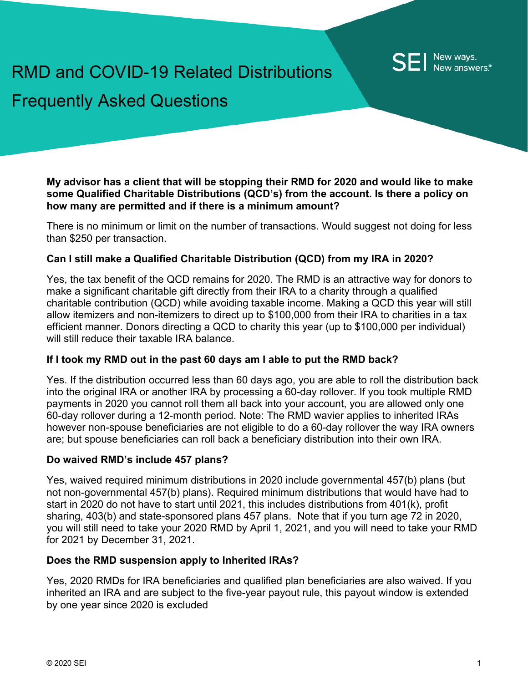# RMD and COVID-19 Related Distributions Frequently Asked Questions

**My advisor has a client that will be stopping their RMD for 2020 and would like to make some Qualified Charitable Distributions (QCD's) from the account. Is there a policy on how many are permitted and if there is a minimum amount?**

There is no minimum or limit on the number of transactions. Would suggest not doing for less than \$250 per transaction.

# **Can I still make a Qualified Charitable Distribution (QCD) from my IRA in 2020?**

Yes, the tax benefit of the QCD remains for 2020. The RMD is an attractive way for donors to make a significant charitable gift directly from their IRA to a charity through a qualified charitable contribution (QCD) while avoiding taxable income. Making a QCD this year will still allow itemizers and non-itemizers to direct up to \$100,000 from their IRA to charities in a tax efficient manner. Donors directing a QCD to charity this year (up to \$100,000 per individual) will still reduce their taxable IRA balance

# **If I took my RMD out in the past 60 days am I able to put the RMD back?**

Yes. If the distribution occurred less than 60 days ago, you are able to roll the distribution back into the original IRA or another IRA by processing a 60-day rollover. If you took multiple RMD payments in 2020 you cannot roll them all back into your account, you are allowed only one 60-day rollover during a 12-month period. Note: The RMD wavier applies to inherited IRAs however non-spouse beneficiaries are not eligible to do a 60-day rollover the way IRA owners are; but spouse beneficiaries can roll back a beneficiary distribution into their own IRA.

#### **Do waived RMD's include 457 plans?**

Yes, waived required minimum distributions in 2020 include governmental 457(b) plans (but not non-governmental 457(b) plans). Required minimum distributions that would have had to start in 2020 do not have to start until 2021, this includes distributions from 401(k), profit sharing, 403(b) and state-sponsored plans 457 plans. Note that if you turn age 72 in 2020, you will still need to take your 2020 RMD by April 1, 2021, and you will need to take your RMD for 2021 by December 31, 2021.

# **Does the RMD suspension apply to Inherited IRAs?**

Yes, 2020 RMDs for IRA beneficiaries and qualified plan beneficiaries are also waived. If you inherited an IRA and are subject to the five-year payout rule, this payout window is extended by one year since 2020 is excluded

New ways. New answers.<sup>®</sup>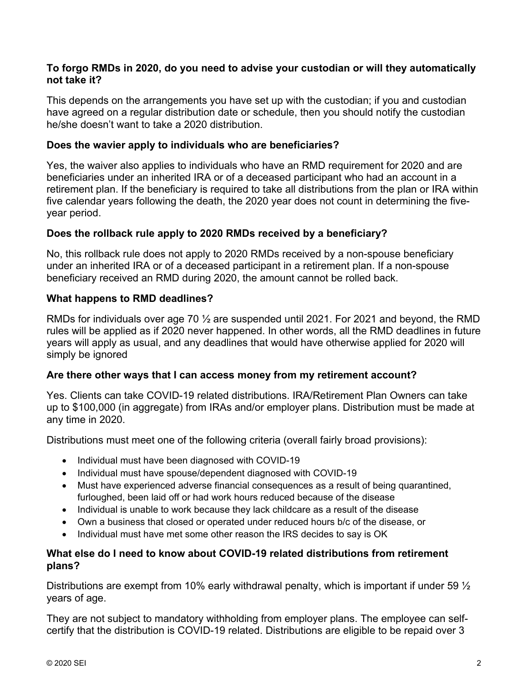# **To forgo RMDs in 2020, do you need to advise your custodian or will they automatically not take it?**

This depends on the arrangements you have set up with the custodian; if you and custodian have agreed on a regular distribution date or schedule, then you should notify the custodian he/she doesn't want to take a 2020 distribution.

## **Does the wavier apply to individuals who are beneficiaries?**

Yes, the waiver also applies to individuals who have an RMD requirement for 2020 and are beneficiaries under an inherited IRA or of a deceased participant who had an account in a retirement plan. If the beneficiary is required to take all distributions from the plan or IRA within five calendar years following the death, the 2020 year does not count in determining the fiveyear period.

# **Does the rollback rule apply to 2020 RMDs received by a beneficiary?**

No, this rollback rule does not apply to 2020 RMDs received by a non-spouse beneficiary under an inherited IRA or of a deceased participant in a retirement plan. If a non-spouse beneficiary received an RMD during 2020, the amount cannot be rolled back.

# **What happens to RMD deadlines?**

RMDs for individuals over age 70 ½ are suspended until 2021. For 2021 and beyond, the RMD rules will be applied as if 2020 never happened. In other words, all the RMD deadlines in future years will apply as usual, and any deadlines that would have otherwise applied for 2020 will simply be ignored

#### **Are there other ways that I can access money from my retirement account?**

Yes. Clients can take COVID-19 related distributions. IRA/Retirement Plan Owners can take up to \$100,000 (in aggregate) from IRAs and/or employer plans. Distribution must be made at any time in 2020.

Distributions must meet one of the following criteria (overall fairly broad provisions):

- Individual must have been diagnosed with COVID-19
- Individual must have spouse/dependent diagnosed with COVID-19
- Must have experienced adverse financial consequences as a result of being quarantined, furloughed, been laid off or had work hours reduced because of the disease
- Individual is unable to work because they lack childcare as a result of the disease
- Own a business that closed or operated under reduced hours b/c of the disease, or
- Individual must have met some other reason the IRS decides to say is OK

## **What else do I need to know about COVID-19 related distributions from retirement plans?**

Distributions are exempt from 10% early withdrawal penalty, which is important if under 59  $\frac{1}{2}$ years of age.

They are not subject to mandatory withholding from employer plans. The employee can selfcertify that the distribution is COVID-19 related. Distributions are eligible to be repaid over 3